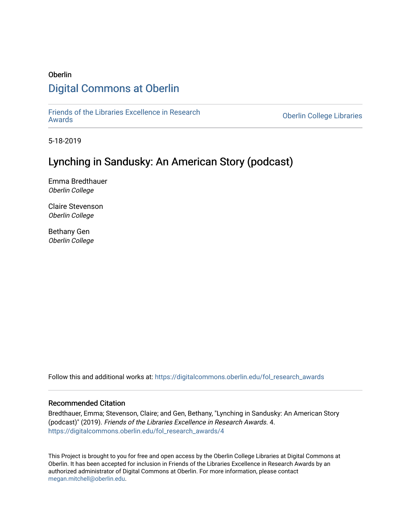# Oberlin [Digital Commons at Oberlin](https://digitalcommons.oberlin.edu/)

[Friends of the Libraries Excellence in Research](https://digitalcommons.oberlin.edu/fol_research_awards)

**Oberlin College Libraries** 

5-18-2019

# Lynching in Sandusky: An American Story (podcast)

Emma Bredthauer Oberlin College

Claire Stevenson Oberlin College

Bethany Gen Oberlin College

Follow this and additional works at: [https://digitalcommons.oberlin.edu/fol\\_research\\_awards](https://digitalcommons.oberlin.edu/fol_research_awards?utm_source=digitalcommons.oberlin.edu%2Ffol_research_awards%2F4&utm_medium=PDF&utm_campaign=PDFCoverPages)

#### Recommended Citation

Bredthauer, Emma; Stevenson, Claire; and Gen, Bethany, "Lynching in Sandusky: An American Story (podcast)" (2019). Friends of the Libraries Excellence in Research Awards. 4. [https://digitalcommons.oberlin.edu/fol\\_research\\_awards/4](https://digitalcommons.oberlin.edu/fol_research_awards/4?utm_source=digitalcommons.oberlin.edu%2Ffol_research_awards%2F4&utm_medium=PDF&utm_campaign=PDFCoverPages) 

This Project is brought to you for free and open access by the Oberlin College Libraries at Digital Commons at Oberlin. It has been accepted for inclusion in Friends of the Libraries Excellence in Research Awards by an authorized administrator of Digital Commons at Oberlin. For more information, please contact [megan.mitchell@oberlin.edu](mailto:megan.mitchell@oberlin.edu).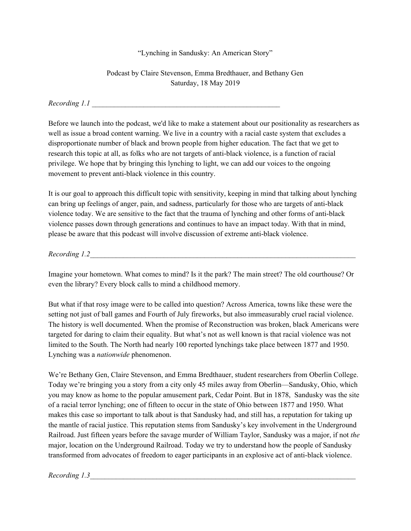## "Lynching in Sandusky: An American Story"

# Podcast by Claire Stevenson, Emma Bredthauer, and Bethany Gen Saturday, 18 May 2019

#### *Recording 1.1 \_\_\_\_\_\_\_\_\_\_\_\_\_\_\_\_\_\_\_\_\_\_\_\_\_\_\_\_\_\_\_\_\_\_\_\_\_\_\_\_\_\_\_\_\_\_\_\_\_\_\_*

Before we launch into the podcast, we'd like to make a statement about our positionality as researchers as well as issue a broad content warning. We live in a country with a racial caste system that excludes a disproportionate number of black and brown people from higher education. The fact that we get to research this topic at all, as folks who are not targets of anti-black violence, is a function of racial privilege. We hope that by bringing this lynching to light, we can add our voices to the ongoing movement to prevent anti-black violence in this country.

It is our goal to approach this difficult topic with sensitivity, keeping in mind that talking about lynching can bring up feelings of anger, pain, and sadness, particularly for those who are targets of anti-black violence today. We are sensitive to the fact that the trauma of lynching and other forms of anti-black violence passes down through generations and continues to have an impact today. With that in mind, please be aware that this podcast will involve discussion of extreme anti-black violence.

*Recording 1.2\_\_\_\_\_\_\_\_\_\_\_\_\_\_\_\_\_\_\_\_\_\_\_\_\_\_\_\_\_\_\_\_\_\_\_\_\_\_\_\_\_\_\_\_\_\_\_\_\_\_\_\_\_\_\_\_\_\_\_\_\_\_\_\_\_\_\_\_\_\_\_\_*

Imagine your hometown. What comes to mind? Is it the park? The main street? The old courthouse? Or even the library? Every block calls to mind a childhood memory.

But what if that rosy image were to be called into question? Across America, towns like these were the setting not just of ball games and Fourth of July fireworks, but also immeasurably cruel racial violence. The history is well documented. When the promise of Reconstruction was broken, black Americans were targeted for daring to claim their equality. But what's not as well known is that racial violence was not limited to the South. The North had nearly 100 reported lynchings take place between 1877 and 1950. Lynching was a *nationwide* phenomenon.

We're Bethany Gen, Claire Stevenson, and Emma Bredthauer, student researchers from Oberlin College. Today we're bringing you a story from a city only 45 miles away from Oberlin—Sandusky, Ohio, which you may know as home to the popular amusement park, Cedar Point. But in 1878, Sandusky was the site of a racial terror lynching; one of fifteen to occur in the state of Ohio between 1877 and 1950. What makes this case so important to talk about is that Sandusky had, and still has, a reputation for taking up the mantle of racial justice. This reputation stems from Sandusky's key involvement in the Underground Railroad. Just fifteen years before the savage murder of William Taylor, Sandusky was a major, if not *the* major, location on the Underground Railroad. Today we try to understand how the people of Sandusky transformed from advocates of freedom to eager participants in an explosive act of anti-black violence.

*Recording 1.3\_\_\_\_\_\_\_\_\_\_\_\_\_\_\_\_\_\_\_\_\_\_\_\_\_\_\_\_\_\_\_\_\_\_\_\_\_\_\_\_\_\_\_\_\_\_\_\_\_\_\_\_\_\_\_\_\_\_\_\_\_\_\_\_\_\_\_\_\_\_\_\_*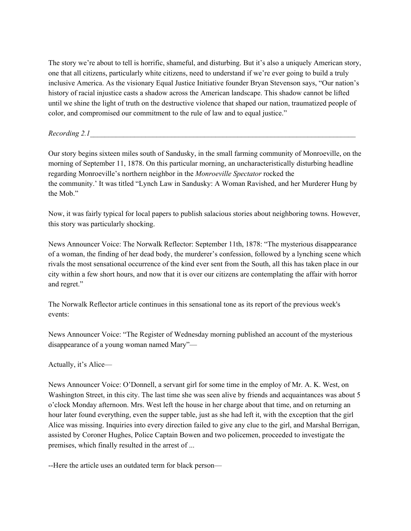The story we're about to tell is horrific, shameful, and disturbing. But it's also a uniquely American story, one that all citizens, particularly white citizens, need to understand if we're ever going to build a truly inclusive America. As the visionary Equal Justice Initiative founder Bryan Stevenson says, "Our nation's history of racial injustice casts a shadow across the American landscape. This shadow cannot be lifted until we shine the light of truth on the destructive violence that shaped our nation, traumatized people of color, and compromised our commitment to the rule of law and to equal justice."

*Recording 2.1\_\_\_\_\_\_\_\_\_\_\_\_\_\_\_\_\_\_\_\_\_\_\_\_\_\_\_\_\_\_\_\_\_\_\_\_\_\_\_\_\_\_\_\_\_\_\_\_\_\_\_\_\_\_\_\_\_\_\_\_\_\_\_\_\_\_\_\_\_\_\_\_*

Our story begins sixteen miles south of Sandusky, in the small farming community of Monroeville, on the morning of September 11, 1878. On this particular morning, an uncharacteristically disturbing headline regarding Monroeville's northern neighbor in the *Monroeville Spectator* rocked the the community.' It was titled "Lynch Law in Sandusky: A Woman Ravished, and her Murderer Hung by the Mob."

Now, it was fairly typical for local papers to publish salacious stories about neighboring towns. However, this story was particularly shocking.

News Announcer Voice: The Norwalk Reflector: September 11th, 1878: "The mysterious disappearance of a woman, the finding of her dead body, the murderer's confession, followed by a lynching scene which rivals the most sensational occurrence of the kind ever sent from the South, all this has taken place in our city within a few short hours, and now that it is over our citizens are contemplating the affair with horror and regret."

The Norwalk Reflector article continues in this sensational tone as its report of the previous week's events:

News Announcer Voice: "The Register of Wednesday morning published an account of the mysterious disappearance of a young woman named Mary"—

Actually, it's Alice—

News Announcer Voice: O'Donnell, a servant girl for some time in the employ of Mr. A. K. West, on Washington Street, in this city. The last time she was seen alive by friends and acquaintances was about 5 o'clock Monday afternoon. Mrs. West left the house in her charge about that time, and on returning an hour later found everything, even the supper table, just as she had left it, with the exception that the girl Alice was missing. Inquiries into every direction failed to give any clue to the girl, and Marshal Berrigan, assisted by Coroner Hughes, Police Captain Bowen and two policemen, proceeded to investigate the premises, which finally resulted in the arrest of ...

--Here the article uses an outdated term for black person—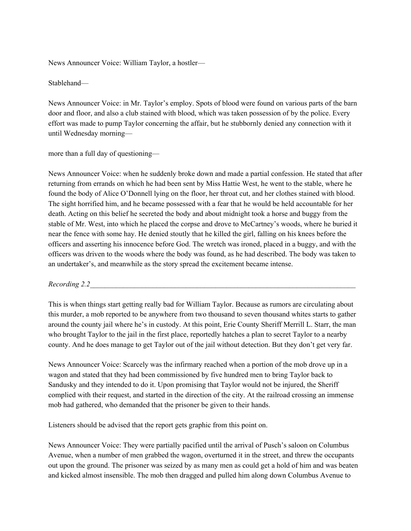News Announcer Voice: William Taylor, a hostler—

Stablehand—

News Announcer Voice: in Mr. Taylor's employ. Spots of blood were found on various parts of the barn door and floor, and also a club stained with blood, which was taken possession of by the police. Every effort was made to pump Taylor concerning the affair, but he stubbornly denied any connection with it until Wednesday morning—

## more than a full day of questioning—

News Announcer Voice: when he suddenly broke down and made a partial confession. He stated that after returning from errands on which he had been sent by Miss Hattie West, he went to the stable, where he found the body of Alice O'Donnell lying on the floor, her throat cut, and her clothes stained with blood. The sight horrified him, and he became possessed with a fear that he would be held accountable for her death. Acting on this belief he secreted the body and about midnight took a horse and buggy from the stable of Mr. West, into which he placed the corpse and drove to McCartney's woods, where he buried it near the fence with some hay. He denied stoutly that he killed the girl, falling on his knees before the officers and asserting his innocence before God. The wretch was ironed, placed in a buggy, and with the officers was driven to the woods where the body was found, as he had described. The body was taken to an undertaker's, and meanwhile as the story spread the excitement became intense.

#### *Recording 2.2\_\_\_\_\_\_\_\_\_\_\_\_\_\_\_\_\_\_\_\_\_\_\_\_\_\_\_\_\_\_\_\_\_\_\_\_\_\_\_\_\_\_\_\_\_\_\_\_\_\_\_\_\_\_\_\_\_\_\_\_\_\_\_\_\_\_\_\_\_\_\_\_*

This is when things start getting really bad for William Taylor. Because as rumors are circulating about this murder, a mob reported to be anywhere from two thousand to seven thousand whites starts to gather around the county jail where he's in custody. At this point, Erie County Sheriff Merrill L. Starr, the man who brought Taylor to the jail in the first place, reportedly hatches a plan to secret Taylor to a nearby county. And he does manage to get Taylor out of the jail without detection. But they don't get very far.

News Announcer Voice: Scarcely was the infirmary reached when a portion of the mob drove up in a wagon and stated that they had been commissioned by five hundred men to bring Taylor back to Sandusky and they intended to do it. Upon promising that Taylor would not be injured, the Sheriff complied with their request, and started in the direction of the city. At the railroad crossing an immense mob had gathered, who demanded that the prisoner be given to their hands.

Listeners should be advised that the report gets graphic from this point on.

News Announcer Voice: They were partially pacified until the arrival of Pusch's saloon on Columbus Avenue, when a number of men grabbed the wagon, overturned it in the street, and threw the occupants out upon the ground. The prisoner was seized by as many men as could get a hold of him and was beaten and kicked almost insensible. The mob then dragged and pulled him along down Columbus Avenue to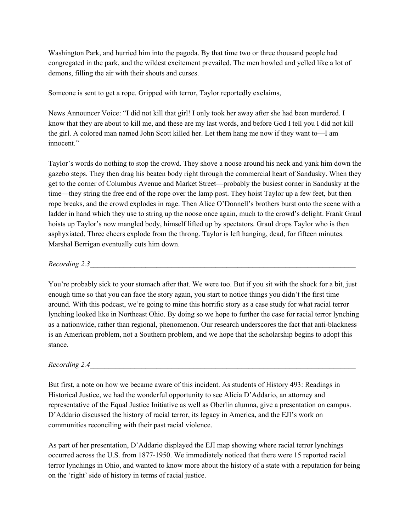Washington Park, and hurried him into the pagoda. By that time two or three thousand people had congregated in the park, and the wildest excitement prevailed. The men howled and yelled like a lot of demons, filling the air with their shouts and curses.

Someone is sent to get a rope. Gripped with terror, Taylor reportedly exclaims,

News Announcer Voice: "I did not kill that girl! I only took her away after she had been murdered. I know that they are about to kill me, and these are my last words, and before God I tell you I did not kill the girl. A colored man named John Scott killed her. Let them hang me now if they want to—I am innocent."

Taylor's words do nothing to stop the crowd. They shove a noose around his neck and yank him down the gazebo steps. They then drag his beaten body right through the commercial heart of Sandusky. When they get to the corner of Columbus Avenue and Market Street—probably the busiest corner in Sandusky at the time—they string the free end of the rope over the lamp post. They hoist Taylor up a few feet, but then rope breaks, and the crowd explodes in rage. Then Alice O'Donnell's brothers burst onto the scene with a ladder in hand which they use to string up the noose once again, much to the crowd's delight. Frank Graul hoists up Taylor's now mangled body, himself lifted up by spectators. Graul drops Taylor who is then asphyxiated. Three cheers explode from the throng. Taylor is left hanging, dead, for fifteen minutes. Marshal Berrigan eventually cuts him down.

*Recording 2.3\_\_\_\_\_\_\_\_\_\_\_\_\_\_\_\_\_\_\_\_\_\_\_\_\_\_\_\_\_\_\_\_\_\_\_\_\_\_\_\_\_\_\_\_\_\_\_\_\_\_\_\_\_\_\_\_\_\_\_\_\_\_\_\_\_\_\_\_\_\_\_\_*

You're probably sick to your stomach after that. We were too. But if you sit with the shock for a bit, just enough time so that you can face the story again, you start to notice things you didn't the first time around. With this podcast, we're going to mine this horrific story as a case study for what racial terror lynching looked like in Northeast Ohio. By doing so we hope to further the case for racial terror lynching as a nationwide, rather than regional, phenomenon. Our research underscores the fact that anti-blackness is an American problem, not a Southern problem, and we hope that the scholarship begins to adopt this stance.

*Recording 2.4\_\_\_\_\_\_\_\_\_\_\_\_\_\_\_\_\_\_\_\_\_\_\_\_\_\_\_\_\_\_\_\_\_\_\_\_\_\_\_\_\_\_\_\_\_\_\_\_\_\_\_\_\_\_\_\_\_\_\_\_\_\_\_\_\_\_\_\_\_\_\_\_*

But first, a note on how we became aware of this incident. As students of History 493: Readings in Historical Justice, we had the wonderful opportunity to see Alicia D'Addario, an attorney and representative of the Equal Justice Initiative as well as Oberlin alumna, give a presentation on campus. D'Addario discussed the history of racial terror, its legacy in America, and the EJI's work on communities reconciling with their past racial violence.

As part of her presentation, D'Addario displayed the EJI map showing where racial terror lynchings occurred across the U.S. from 1877-1950. We immediately noticed that there were 15 reported racial terror lynchings in Ohio, and wanted to know more about the history of a state with a reputation for being on the 'right' side of history in terms of racial justice.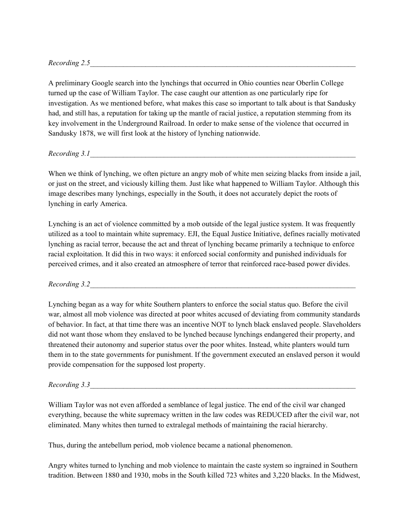*Recording 2.5\_\_\_\_\_\_\_\_\_\_\_\_\_\_\_\_\_\_\_\_\_\_\_\_\_\_\_\_\_\_\_\_\_\_\_\_\_\_\_\_\_\_\_\_\_\_\_\_\_\_\_\_\_\_\_\_\_\_\_\_\_\_\_\_\_\_\_\_\_\_\_\_*

A preliminary Google search into the lynchings that occurred in Ohio counties near Oberlin College turned up the case of William Taylor. The case caught our attention as one particularly ripe for investigation. As we mentioned before, what makes this case so important to talk about is that Sandusky had, and still has, a reputation for taking up the mantle of racial justice, a reputation stemming from its key involvement in the Underground Railroad. In order to make sense of the violence that occurred in Sandusky 1878, we will first look at the history of lynching nationwide.

*Recording* 3.1

When we think of lynching, we often picture an angry mob of white men seizing blacks from inside a jail, or just on the street, and viciously killing them. Just like what happened to William Taylor. Although this image describes many lynchings, especially in the South, it does not accurately depict the roots of lynching in early America.

Lynching is an act of violence committed by a mob outside of the legal justice system. It was frequently utilized as a tool to maintain white supremacy. EJI, the Equal Justice Initiative, defines racially motivated lynching as racial terror, because the act and threat of lynching became primarily a technique to enforce racial exploitation. It did this in two ways: it enforced social conformity and punished individuals for perceived crimes, and it also created an atmosphere of terror that reinforced race-based power divides.

*Recording 3.2\_\_\_\_\_\_\_\_\_\_\_\_\_\_\_\_\_\_\_\_\_\_\_\_\_\_\_\_\_\_\_\_\_\_\_\_\_\_\_\_\_\_\_\_\_\_\_\_\_\_\_\_\_\_\_\_\_\_\_\_\_\_\_\_\_\_\_\_\_\_\_\_*

Lynching began as a way for white Southern planters to enforce the social status quo. Before the civil war, almost all mob violence was directed at poor whites accused of deviating from community standards of behavior. In fact, at that time there was an incentive NOT to lynch black enslaved people. Slaveholders did not want those whom they enslaved to be lynched because lynchings endangered their property, and threatened their autonomy and superior status over the poor whites. Instead, white planters would turn them in to the state governments for punishment. If the government executed an enslaved person it would provide compensation for the supposed lost property.

#### *Recording 3.3\_\_\_\_\_\_\_\_\_\_\_\_\_\_\_\_\_\_\_\_\_\_\_\_\_\_\_\_\_\_\_\_\_\_\_\_\_\_\_\_\_\_\_\_\_\_\_\_\_\_\_\_\_\_\_\_\_\_\_\_\_\_\_\_\_\_\_\_\_\_\_\_*

William Taylor was not even afforded a semblance of legal justice. The end of the civil war changed everything, because the white supremacy written in the law codes was REDUCED after the civil war, not eliminated. Many whites then turned to extralegal methods of maintaining the racial hierarchy.

Thus, during the antebellum period, mob violence became a national phenomenon.

Angry whites turned to lynching and mob violence to maintain the caste system so ingrained in Southern tradition. Between 1880 and 1930, mobs in the South killed 723 whites and 3,220 blacks. In the Midwest,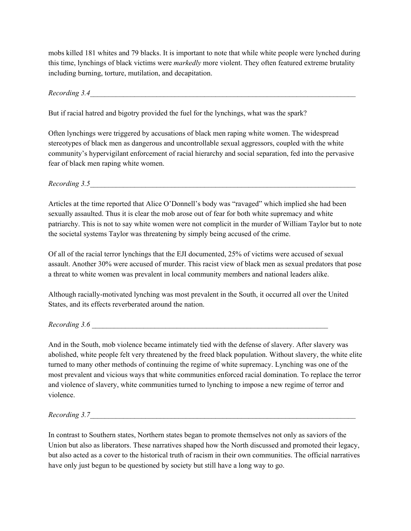mobs killed 181 whites and 79 blacks. It is important to note that while white people were lynched during this time, lynchings of black victims were *markedly* more violent. They often featured extreme brutality including burning, torture, mutilation, and decapitation.

*Recording 3.4\_\_\_\_\_\_\_\_\_\_\_\_\_\_\_\_\_\_\_\_\_\_\_\_\_\_\_\_\_\_\_\_\_\_\_\_\_\_\_\_\_\_\_\_\_\_\_\_\_\_\_\_\_\_\_\_\_\_\_\_\_\_\_\_\_\_\_\_\_\_\_\_*

But if racial hatred and bigotry provided the fuel for the lynchings, what was the spark?

Often lynchings were triggered by accusations of black men raping white women. The widespread stereotypes of black men as dangerous and uncontrollable sexual aggressors, coupled with the white community's hypervigilant enforcement of racial hierarchy and social separation, fed into the pervasive fear of black men raping white women.

*Recording* 3.5

Articles at the time reported that Alice O'Donnell's body was "ravaged" which implied she had been sexually assaulted. Thus it is clear the mob arose out of fear for both white supremacy and white patriarchy. This is not to say white women were not complicit in the murder of William Taylor but to note the societal systems Taylor was threatening by simply being accused of the crime.

Of all of the racial terror lynchings that the EJI documented, 25% of victims were accused of sexual assault. Another 30% were accused of murder. This racist view of black men as sexual predators that pose a threat to white women was prevalent in local community members and national leaders alike.

Although racially-motivated lynching was most prevalent in the South, it occurred all over the United States, and its effects reverberated around the nation.

*Recording 3.6 \_\_\_\_\_\_\_\_\_\_\_\_\_\_\_\_\_\_\_\_\_\_\_\_\_\_\_\_\_\_\_\_\_\_\_\_\_\_\_\_\_\_\_\_\_\_\_\_\_\_\_\_\_\_\_\_\_\_\_\_\_\_\_\_*

And in the South, mob violence became intimately tied with the defense of slavery. After slavery was abolished, white people felt very threatened by the freed black population. Without slavery, the white elite turned to many other methods of continuing the regime of white supremacy. Lynching was one of the most prevalent and vicious ways that white communities enforced racial domination. To replace the terror and violence of slavery, white communities turned to lynching to impose a new regime of terror and violence.

*Recording* 3.7

In contrast to Southern states, Northern states began to promote themselves not only as saviors of the Union but also as liberators. These narratives shaped how the North discussed and promoted their legacy, but also acted as a cover to the historical truth of racism in their own communities. The official narratives have only just begun to be questioned by society but still have a long way to go.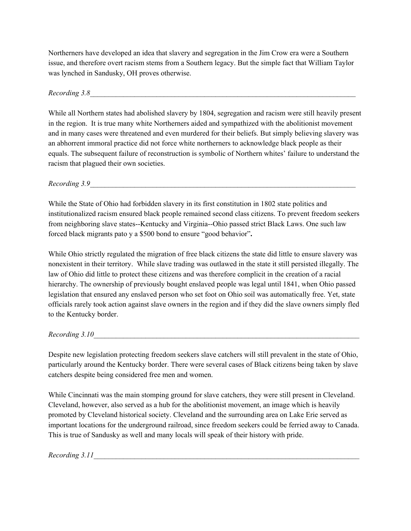Northerners have developed an idea that slavery and segregation in the Jim Crow era were a Southern issue, and therefore overt racism stems from a Southern legacy. But the simple fact that William Taylor was lynched in Sandusky, OH proves otherwise.

*Recording 3.8\_\_\_\_\_\_\_\_\_\_\_\_\_\_\_\_\_\_\_\_\_\_\_\_\_\_\_\_\_\_\_\_\_\_\_\_\_\_\_\_\_\_\_\_\_\_\_\_\_\_\_\_\_\_\_\_\_\_\_\_\_\_\_\_\_\_\_\_\_\_\_\_*

While all Northern states had abolished slavery by 1804, segregation and racism were still heavily present in the region. It is true many white Northerners aided and sympathized with the abolitionist movement and in many cases were threatened and even murdered for their beliefs. But simply believing slavery was an abhorrent immoral practice did not force white northerners to acknowledge black people as their equals. The subsequent failure of reconstruction is symbolic of Northern whites' failure to understand the racism that plagued their own societies.

*Recording 3.9\_\_\_\_\_\_\_\_\_\_\_\_\_\_\_\_\_\_\_\_\_\_\_\_\_\_\_\_\_\_\_\_\_\_\_\_\_\_\_\_\_\_\_\_\_\_\_\_\_\_\_\_\_\_\_\_\_\_\_\_\_\_\_\_\_\_\_\_\_\_\_\_*

While the State of Ohio had forbidden slavery in its first constitution in 1802 state politics and institutionalized racism ensured black people remained second class citizens. To prevent freedom seekers from neighboring slave states--Kentucky and Virginia--Ohio passed strict Black Laws. One such law forced black migrants pato y a \$500 bond to ensure "good behavior"**.**

While Ohio strictly regulated the migration of free black citizens the state did little to ensure slavery was nonexistent in their territory. While slave trading was outlawed in the state it still persisted illegally. The law of Ohio did little to protect these citizens and was therefore complicit in the creation of a racial hierarchy. The ownership of previously bought enslaved people was legal until 1841, when Ohio passed legislation that ensured any enslaved person who set foot on Ohio soil was automatically free. Yet, state officials rarely took action against slave owners in the region and if they did the slave owners simply fled to the Kentucky border.

*Recording 3.10\_\_\_\_\_\_\_\_\_\_\_\_\_\_\_\_\_\_\_\_\_\_\_\_\_\_\_\_\_\_\_\_\_\_\_\_\_\_\_\_\_\_\_\_\_\_\_\_\_\_\_\_\_\_\_\_\_\_\_\_\_\_\_\_\_\_\_\_\_\_\_\_*

Despite new legislation protecting freedom seekers slave catchers will still prevalent in the state of Ohio, particularly around the Kentucky border. There were several cases of Black citizens being taken by slave catchers despite being considered free men and women.

While Cincinnati was the main stomping ground for slave catchers, they were still present in Cleveland. Cleveland, however, also served as a hub for the abolitionist movement, an image which is heavily promoted by Cleveland historical society. Cleveland and the surrounding area on Lake Erie served as important locations for the underground railroad, since freedom seekers could be ferried away to Canada. This is true of Sandusky as well and many locals will speak of their history with pride.

*Recording* 3.11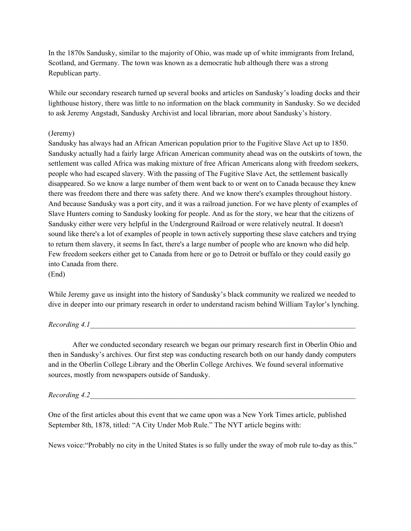In the 1870s Sandusky, similar to the majority of Ohio, was made up of white immigrants from Ireland, Scotland, and Germany. The town was known as a democratic hub although there was a strong Republican party.

While our secondary research turned up several books and articles on Sandusky's loading docks and their lighthouse history, there was little to no information on the black community in Sandusky. So we decided to ask Jeremy Angstadt, Sandusky Archivist and local librarian, more about Sandusky's history.

## (Jeremy)

Sandusky has always had an African American population prior to the Fugitive Slave Act up to 1850. Sandusky actually had a fairly large African American community ahead was on the outskirts of town, the settlement was called Africa was making mixture of free African Americans along with freedom seekers, people who had escaped slavery. With the passing of The Fugitive Slave Act, the settlement basically disappeared. So we know a large number of them went back to or went on to Canada because they knew there was freedom there and there was safety there. And we know there's examples throughout history. And because Sandusky was a port city, and it was a railroad junction. For we have plenty of examples of Slave Hunters coming to Sandusky looking for people. And as for the story, we hear that the citizens of Sandusky either were very helpful in the Underground Railroad or were relatively neutral. It doesn't sound like there's a lot of examples of people in town actively supporting these slave catchers and trying to return them slavery, it seems In fact, there's a large number of people who are known who did help. Few freedom seekers either get to Canada from here or go to Detroit or buffalo or they could easily go into Canada from there. (End)

While Jeremy gave us insight into the history of Sandusky's black community we realized we needed to dive in deeper into our primary research in order to understand racism behind William Taylor's lynching.

#### *Recording 4.1\_\_\_\_\_\_\_\_\_\_\_\_\_\_\_\_\_\_\_\_\_\_\_\_\_\_\_\_\_\_\_\_\_\_\_\_\_\_\_\_\_\_\_\_\_\_\_\_\_\_\_\_\_\_\_\_\_\_\_\_\_\_\_\_\_\_\_\_\_\_\_\_*

After we conducted secondary research we began our primary research first in Oberlin Ohio and then in Sandusky's archives. Our first step was conducting research both on our handy dandy computers and in the Oberlin College Library and the Oberlin College Archives. We found several informative sources, mostly from newspapers outside of Sandusky.

*Recording 4.2\_\_\_\_\_\_\_\_\_\_\_\_\_\_\_\_\_\_\_\_\_\_\_\_\_\_\_\_\_\_\_\_\_\_\_\_\_\_\_\_\_\_\_\_\_\_\_\_\_\_\_\_\_\_\_\_\_\_\_\_\_\_\_\_\_\_\_\_\_\_\_\_*

One of the first articles about this event that we came upon was a New York Times article, published September 8th, 1878, titled: "A City Under Mob Rule." The NYT article begins with:

News voice:"Probably no city in the United States is so fully under the sway of mob rule to-day as this."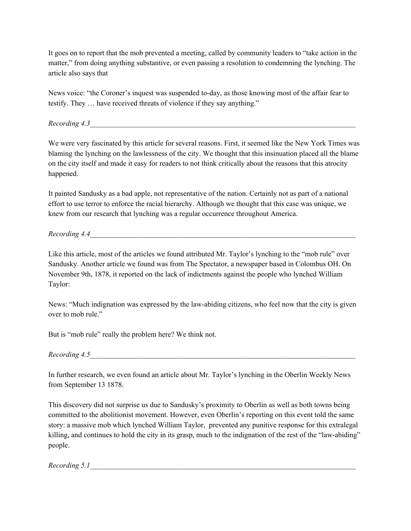It goes on to report that the mob prevented a meeting, called by community leaders to "take action in the matter," from doing anything substantive, or even passing a resolution to condemning the lynching. The article also says that

News voice: "the Coroner's inquest was suspended to-day, as those knowing most of the affair fear to testify. They … have received threats of violence if they say anything."

*Recording 4.3* 

We were very fascinated by this article for several reasons. First, it seemed like the New York Times was blaming the lynching on the lawlessness of the city. We thought that this insinuation placed all the blame on the city itself and made it easy for readers to not think critically about the reasons that this atrocity happened.

It painted Sandusky as a bad apple, not representative of the nation. Certainly not as part of a national effort to use terror to enforce the racial hierarchy. Although we thought that this case was unique, we knew from our research that lynching was a regular occurrence throughout America.

 $Recording 4.4$ 

Like this article, most of the articles we found attributed Mr. Taylor's lynching to the "mob rule" over Sandusky. Another article we found was from The Spectator, a newspaper based in Colombus OH. On November 9th, 1878, it reported on the lack of indictments against the people who lynched William Taylor:

News: "Much indignation was expressed by the law-abiding citizens, who feel now that the city is given over to mob rule."

But is "mob rule" really the problem here? We think not.

*Recording 4.5\_\_\_\_\_\_\_\_\_\_\_\_\_\_\_\_\_\_\_\_\_\_\_\_\_\_\_\_\_\_\_\_\_\_\_\_\_\_\_\_\_\_\_\_\_\_\_\_\_\_\_\_\_\_\_\_\_\_\_\_\_\_\_\_\_\_\_\_\_\_\_\_*

In further research, we even found an article about Mr. Taylor's lynching in the Oberlin Weekly News from September 13 1878.

This discovery did not surprise us due to Sandusky's proximity to Oberlin as well as both towns being committed to the abolitionist movement. However, even Oberlin's reporting on this event told the same story: a massive mob which lynched William Taylor, prevented any punitive response for this extralegal killing, and continues to hold the city in its grasp, much to the indignation of the rest of the "law-abiding" people.

*Recording* 5.1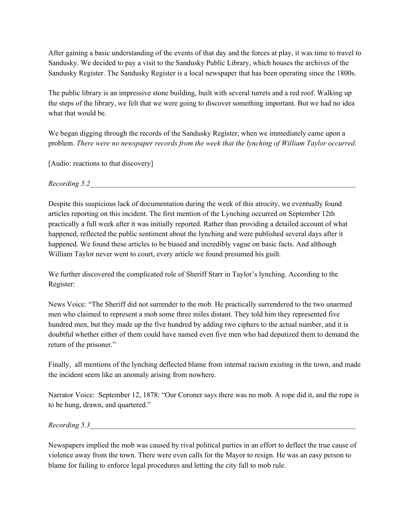After gaining a basic understanding of the events of that day and the forces at play, it was time to travel to Sandusky. We decided to pay a visit to the Sandusky Public Library, which houses the archives of the Sandusky Register. The Sandusky Register is a local newspaper that has been operating since the 1800s.

The public library is an impressive stone building, built with several turrets and a red roof. Walking up the steps of the library, we felt that we were going to discover something important. But we had no idea what that would be.

We began digging through the records of the Sandusky Register, when we immediately came upon a problem. *There were no newspaper records from the week that the lynching of William Taylor occurred.*

[Audio: reactions to that discovery]

*Recording 5.2\_\_\_\_\_\_\_\_\_\_\_\_\_\_\_\_\_\_\_\_\_\_\_\_\_\_\_\_\_\_\_\_\_\_\_\_\_\_\_\_\_\_\_\_\_\_\_\_\_\_\_\_\_\_\_\_\_\_\_\_\_\_\_\_\_\_\_\_\_\_\_\_*

Despite this suspicious lack of documentation during the week of this atrocity, we eventually found articles reporting on this incident. The first mention of the Lynching occurred on September 12th practically a full week after it was initially reported. Rather than providing a detailed account of what happened, reflected the public sentiment about the lynching and were published several days after it happened. We found these articles to be biased and incredibly vague on basic facts. And although William Taylor never went to court, every article we found presumed his guilt.

We further discovered the complicated role of Sheriff Starr in Taylor's lynching. According to the Register:

News Voice: "The Sheriff did not surrender to the mob. He practically surrendered to the two unarmed men who claimed to represent a mob some three miles distant. They told him they represented five hundred men, but they made up the five hundred by adding two ciphers to the actual number, and it is doubtful whether either of them could have named even five men who had deputized them to demand the return of the prisoner."

Finally, all mentions of the lynching deflected blame from internal racism existing in the town, and made the incident seem like an anomaly arising from nowhere.

Narrator Voice: September 12, 1878: "Our Coroner says there was no mob. A rope did it, and the rope is to be hung, drawn, and quartered."

*Recording 5.3\_\_\_\_\_\_\_\_\_\_\_\_\_\_\_\_\_\_\_\_\_\_\_\_\_\_\_\_\_\_\_\_\_\_\_\_\_\_\_\_\_\_\_\_\_\_\_\_\_\_\_\_\_\_\_\_\_\_\_\_\_\_\_\_\_\_\_\_\_\_\_\_*

Newspapers implied the mob was caused by rival political parties in an effort to deflect the true cause of violence away from the town. There were even calls for the Mayor to resign. He was an easy person to blame for failing to enforce legal procedures and letting the city fall to mob rule.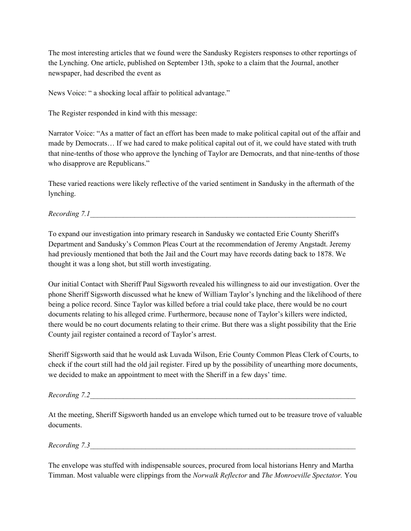The most interesting articles that we found were the Sandusky Registers responses to other reportings of the Lynching. One article, published on September 13th, spoke to a claim that the Journal, another newspaper, had described the event as

News Voice: " a shocking local affair to political advantage."

The Register responded in kind with this message:

Narrator Voice: "As a matter of fact an effort has been made to make political capital out of the affair and made by Democrats… If we had cared to make political capital out of it, we could have stated with truth that nine-tenths of those who approve the lynching of Taylor are Democrats, and that nine-tenths of those who disapprove are Republicans."

These varied reactions were likely reflective of the varied sentiment in Sandusky in the aftermath of the lynching.

# *Recording* 7.1

To expand our investigation into primary research in Sandusky we contacted Erie County Sheriff's Department and Sandusky's Common Pleas Court at the recommendation of Jeremy Angstadt. Jeremy had previously mentioned that both the Jail and the Court may have records dating back to 1878. We thought it was a long shot, but still worth investigating.

Our initial Contact with Sheriff Paul Sigsworth revealed his willingness to aid our investigation. Over the phone Sheriff Sigsworth discussed what he knew of William Taylor's lynching and the likelihood of there being a police record. Since Taylor was killed before a trial could take place, there would be no court documents relating to his alleged crime. Furthermore, because none of Taylor's killers were indicted, there would be no court documents relating to their crime. But there was a slight possibility that the Erie County jail register contained a record of Taylor's arrest.

Sheriff Sigsworth said that he would ask Luvada Wilson, Erie County Common Pleas Clerk of Courts, to check if the court still had the old jail register. Fired up by the possibility of unearthing more documents, we decided to make an appointment to meet with the Sheriff in a few days' time.

## *Recording* 7.2

At the meeting, Sheriff Sigsworth handed us an envelope which turned out to be treasure trove of valuable documents.

*Recording* 7.3

The envelope was stuffed with indispensable sources, procured from local historians Henry and Martha Timman. Most valuable were clippings from the *Norwalk Reflector* and *The Monroeville Spectator.* You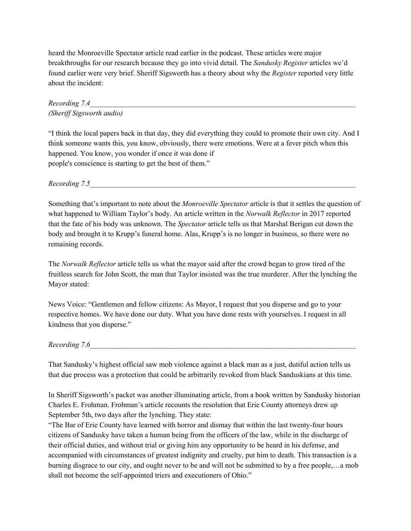heard the Monroeville Spectator article read earlier in the podcast. These articles were major breakthroughs for our research because they go into vivid detail. The *Sandusky Register* articles we'd found earlier were very brief. Sheriff Sigsworth has a theory about why the *Register* reported very little about the incident:

*Recording 7.4\_\_\_\_\_\_\_\_\_\_\_\_\_\_\_\_\_\_\_\_\_\_\_\_\_\_\_\_\_\_\_\_\_\_\_\_\_\_\_\_\_\_\_\_\_\_\_\_\_\_\_\_\_\_\_\_\_\_\_\_\_\_\_\_\_\_\_\_\_\_\_\_ (Sherif Sigsworth audio)*

"I think the local papers back in that day, they did everything they could to promote their own city. And I think someone wants this, you know, obviously, there were emotions. Were at a fever pitch when this happened. You know, you wonder if once it was done if people's conscience is starting to get the best of them."

*Recording 7.5\_\_\_\_\_\_\_\_\_\_\_\_\_\_\_\_\_\_\_\_\_\_\_\_\_\_\_\_\_\_\_\_\_\_\_\_\_\_\_\_\_\_\_\_\_\_\_\_\_\_\_\_\_\_\_\_\_\_\_\_\_\_\_\_\_\_\_\_\_\_\_\_*

Something that's important to note about the *Monroeville Spectator* article is that it settles the question of what happened to William Taylor's body. An article written in the *Norwalk Reflector* in 2017 reported that the fate of his body was unknown. The *Spectator* article tells us that Marshal Berigan cut down the body and brought it to Krupp's funeral home. Alas, Krupp's is no longer in business, so there were no remaining records.

The *Norwalk Reflector* article tells us what the mayor said after the crowd began to grow tired of the fruitless search for John Scott, the man that Taylor insisted was the true murderer. After the lynching the Mayor stated:

News Voice: "Gentlemen and fellow citizens: As Mayor, I request that you disperse and go to your respective homes. We have done our duty. What you have done rests with yourselves. I request in all kindness that you disperse."

*Recording* 7.6

That Sandusky's highest official saw mob violence against a black man as a just, dutiful action tells us that due process was a protection that could be arbitrarily revoked from black Sanduskians at this time.

In Sheriff Sigsworth's packet was another illuminating article, from a book written by Sandusky historian Charles E. Frohman. Frohman's article recounts the resolution that Erie County attorneys drew up September 5th, two days after the lynching. They state:

"The Bar of Erie County have learned with horror and dismay that within the last twenty-four hours citizens of Sandusky have taken a human being from the officers of the law, while in the discharge of their official duties, and without trial or giving him any opportunity to be heard in his defense, and accompanied with circumstances of greatest indignity and cruelty, put him to death. This transaction is a burning disgrace to our city, and ought never to be and will not be submitted to by a free people,…a mob shall not become the self-appointed triers and executioners of Ohio."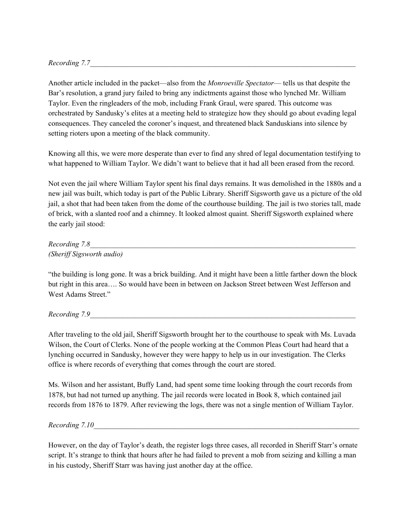*Recording 7.7\_\_\_\_\_\_\_\_\_\_\_\_\_\_\_\_\_\_\_\_\_\_\_\_\_\_\_\_\_\_\_\_\_\_\_\_\_\_\_\_\_\_\_\_\_\_\_\_\_\_\_\_\_\_\_\_\_\_\_\_\_\_\_\_\_\_\_\_\_\_\_\_*

Another article included in the packet—also from the *Monroeville Spectator*— tells us that despite the Bar's resolution, a grand jury failed to bring any indictments against those who lynched Mr. William Taylor. Even the ringleaders of the mob, including Frank Graul, were spared. This outcome was orchestrated by Sandusky's elites at a meeting held to strategize how they should go about evading legal consequences. They canceled the coroner's inquest, and threatened black Sanduskians into silence by setting rioters upon a meeting of the black community.

Knowing all this, we were more desperate than ever to find any shred of legal documentation testifying to what happened to William Taylor. We didn't want to believe that it had all been erased from the record.

Not even the jail where William Taylor spent his final days remains. It was demolished in the 1880s and a new jail was built, which today is part of the Public Library. Sheriff Sigsworth gave us a picture of the old jail, a shot that had been taken from the dome of the courthouse building. The jail is two stories tall, made of brick, with a slanted roof and a chimney. It looked almost quaint. Sheriff Sigsworth explained where the early jail stood:

*Recording 7.8\_\_\_\_\_\_\_\_\_\_\_\_\_\_\_\_\_\_\_\_\_\_\_\_\_\_\_\_\_\_\_\_\_\_\_\_\_\_\_\_\_\_\_\_\_\_\_\_\_\_\_\_\_\_\_\_\_\_\_\_\_\_\_\_\_\_\_\_\_\_\_\_ (Sherif Sigsworth audio)*

"the building is long gone. It was a brick building. And it might have been a little farther down the block but right in this area…. So would have been in between on Jackson Street between West Jefferson and West Adams Street."

*Recording* 7.9

After traveling to the old jail, Sheriff Sigsworth brought her to the courthouse to speak with Ms. Luvada Wilson, the Court of Clerks. None of the people working at the Common Pleas Court had heard that a lynching occurred in Sandusky, however they were happy to help us in our investigation. The Clerks office is where records of everything that comes through the court are stored.

Ms. Wilson and her assistant, Buffy Land, had spent some time looking through the court records from 1878, but had not turned up anything. The jail records were located in Book 8, which contained jail records from 1876 to 1879. After reviewing the logs, there was not a single mention of William Taylor.

*Recording* 7.10

However, on the day of Taylor's death, the register logs three cases, all recorded in Sheriff Starr's ornate script. It's strange to think that hours after he had failed to prevent a mob from seizing and killing a man in his custody, Sheriff Starr was having just another day at the office.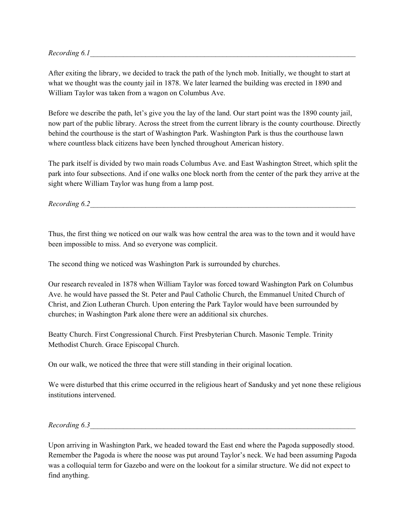$Recording 6.1$ 

After exiting the library, we decided to track the path of the lynch mob. Initially, we thought to start at what we thought was the county jail in 1878. We later learned the building was erected in 1890 and William Taylor was taken from a wagon on Columbus Ave.

Before we describe the path, let's give you the lay of the land. Our start point was the 1890 county jail, now part of the public library. Across the street from the current library is the county courthouse. Directly behind the courthouse is the start of Washington Park. Washington Park is thus the courthouse lawn where countless black citizens have been lynched throughout American history.

The park itself is divided by two main roads Columbus Ave. and East Washington Street, which split the park into four subsections. And if one walks one block north from the center of the park they arrive at the sight where William Taylor was hung from a lamp post.

*Recording* 6.2

Thus, the first thing we noticed on our walk was how central the area was to the town and it would have been impossible to miss. And so everyone was complicit.

The second thing we noticed was Washington Park is surrounded by churches.

Our research revealed in 1878 when William Taylor was forced toward Washington Park on Columbus Ave. he would have passed the St. Peter and Paul Catholic Church, the Emmanuel United Church of Christ, and Zion Lutheran Church. Upon entering the Park Taylor would have been surrounded by churches; in Washington Park alone there were an additional six churches.

Beatty Church. First Congressional Church. First Presbyterian Church. Masonic Temple. Trinity Methodist Church. Grace Episcopal Church.

On our walk, we noticed the three that were still standing in their original location.

We were disturbed that this crime occurred in the religious heart of Sandusky and yet none these religious institutions intervened.

*Recording 6.3\_\_\_\_\_\_\_\_\_\_\_\_\_\_\_\_\_\_\_\_\_\_\_\_\_\_\_\_\_\_\_\_\_\_\_\_\_\_\_\_\_\_\_\_\_\_\_\_\_\_\_\_\_\_\_\_\_\_\_\_\_\_\_\_\_\_\_\_\_\_\_\_*

Upon arriving in Washington Park, we headed toward the East end where the Pagoda supposedly stood. Remember the Pagoda is where the noose was put around Taylor's neck. We had been assuming Pagoda was a colloquial term for Gazebo and were on the lookout for a similar structure. We did not expect to find anything.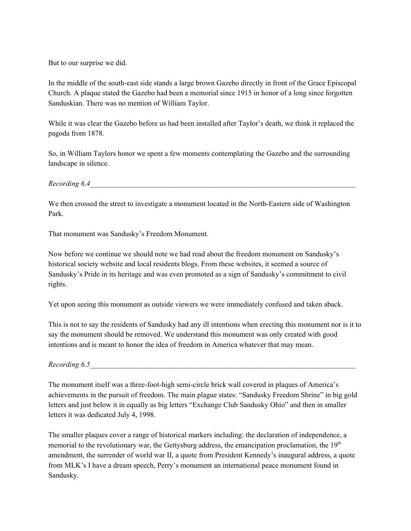But to our surprise we did.

In the middle of the south-east side stands a large brown Gazebo directly in front of the Grace Episcopal Church. A plaque stated the Gazebo had been a memorial since 1915 in honor of a long since forgotten Sanduskian. There was no mention of William Taylor.

While it was clear the Gazebo before us had been installed after Taylor's death, we think it replaced the pagoda from 1878.

So, in William Taylors honor we spent a few moments contemplating the Gazebo and the surrounding landscape in silence.

*Recording 6.4\_\_\_\_\_\_\_\_\_\_\_\_\_\_\_\_\_\_\_\_\_\_\_\_\_\_\_\_\_\_\_\_\_\_\_\_\_\_\_\_\_\_\_\_\_\_\_\_\_\_\_\_\_\_\_\_\_\_\_\_\_\_\_\_\_\_\_\_\_\_\_\_*

We then crossed the street to investigate a monument located in the North-Eastern side of Washington Park.

That monument was Sandusky's Freedom Monument.

Now before we continue we should note we had read about the freedom monument on Sandusky's historical society website and local residents blogs. From these websites, it seemed a source of Sandusky's Pride in its heritage and was even promoted as a sign of Sandusky's commitment to civil rights.

Yet upon seeing this monument as outside viewers we were immediately confused and taken aback.

This is not to say the residents of Sandusky had any ill intentions when erecting this monument nor is it to say the monument should be removed. We understand this monument was only created with good intentions and is meant to honor the idea of freedom in America whatever that may mean.

*Recording 6.5\_\_\_\_\_\_\_\_\_\_\_\_\_\_\_\_\_\_\_\_\_\_\_\_\_\_\_\_\_\_\_\_\_\_\_\_\_\_\_\_\_\_\_\_\_\_\_\_\_\_\_\_\_\_\_\_\_\_\_\_\_\_\_\_\_\_\_\_\_\_\_\_*

The monument itself was a three-foot-high semi-circle brick wall covered in plaques of America's achievements in the pursuit of freedom. The main plague states: "Sandusky Freedom Shrine" in big gold letters and just below it in equally as big letters "Exchange Club Sandusky Ohio" and then in smaller letters it was dedicated July 4, 1998.

The smaller plaques cover a range of historical markers including: the declaration of independence, a memorial to the revolutionary war, the Gettysburg address, the emancipation proclamation, the 19<sup>th</sup> amendment, the surrender of world war II, a quote from President Kennedy's inaugural address, a quote from MLK's I have a dream speech, Perry's monument an international peace monument found in Sandusky.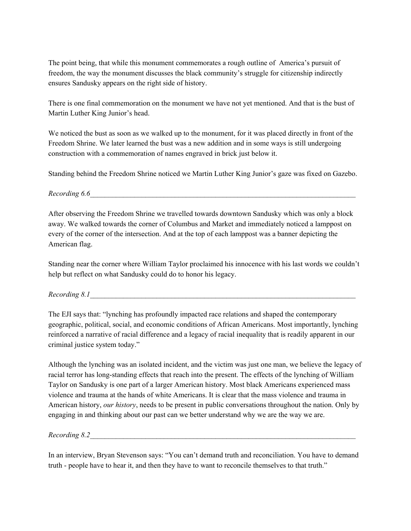The point being, that while this monument commemorates a rough outline of America's pursuit of freedom, the way the monument discusses the black community's struggle for citizenship indirectly ensures Sandusky appears on the right side of history.

There is one final commemoration on the monument we have not yet mentioned. And that is the bust of Martin Luther King Junior's head.

We noticed the bust as soon as we walked up to the monument, for it was placed directly in front of the Freedom Shrine. We later learned the bust was a new addition and in some ways is still undergoing construction with a commemoration of names engraved in brick just below it.

Standing behind the Freedom Shrine noticed we Martin Luther King Junior's gaze was fixed on Gazebo.

*Recording 6.6\_\_\_\_\_\_\_\_\_\_\_\_\_\_\_\_\_\_\_\_\_\_\_\_\_\_\_\_\_\_\_\_\_\_\_\_\_\_\_\_\_\_\_\_\_\_\_\_\_\_\_\_\_\_\_\_\_\_\_\_\_\_\_\_\_\_\_\_\_\_\_\_*

After observing the Freedom Shrine we travelled towards downtown Sandusky which was only a block away. We walked towards the corner of Columbus and Market and immediately noticed a lamppost on every of the corner of the intersection. And at the top of each lamppost was a banner depicting the American flag.

Standing near the corner where William Taylor proclaimed his innocence with his last words we couldn't help but reflect on what Sandusky could do to honor his legacy.

 $Recording 8.1$ 

The EJI says that: "lynching has profoundly impacted race relations and shaped the contemporary geographic, political, social, and economic conditions of African Americans. Most importantly, lynching reinforced a narrative of racial difference and a legacy of racial inequality that is readily apparent in our criminal justice system today."

Although the lynching was an isolated incident, and the victim was just one man, we believe the legacy of racial terror has long-standing effects that reach into the present. The effects of the lynching of William Taylor on Sandusky is one part of a larger American history. Most black Americans experienced mass violence and trauma at the hands of white Americans. It is clear that the mass violence and trauma in American history, *our history*, needs to be present in public conversations throughout the nation. Only by engaging in and thinking about our past can we better understand why we are the way we are.

*Recording* 8.2

In an interview, Bryan Stevenson says: "You can't demand truth and reconciliation. You have to demand truth - people have to hear it, and then they have to want to reconcile themselves to that truth."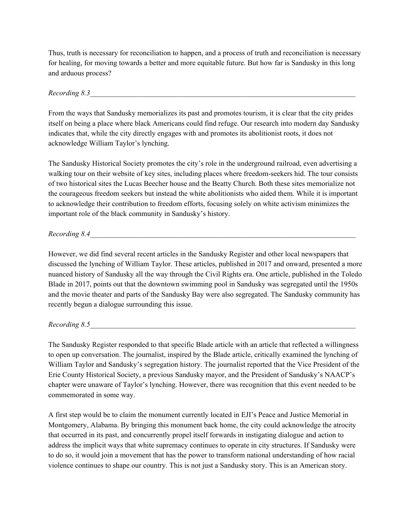Thus, truth is necessary for reconciliation to happen, and a process of truth and reconciliation is necessary for healing, for moving towards a better and more equitable future. But how far is Sandusky in this long and arduous process?

*Recording 8.3\_\_\_\_\_\_\_\_\_\_\_\_\_\_\_\_\_\_\_\_\_\_\_\_\_\_\_\_\_\_\_\_\_\_\_\_\_\_\_\_\_\_\_\_\_\_\_\_\_\_\_\_\_\_\_\_\_\_\_\_\_\_\_\_\_\_\_\_\_\_\_\_*

From the ways that Sandusky memorializes its past and promotes tourism, it is clear that the city prides itself on being a place where black Americans could find refuge. Our research into modern day Sandusky indicates that, while the city directly engages with and promotes its abolitionist roots, it does not acknowledge William Taylor's lynching.

The Sandusky Historical Society promotes the city's role in the underground railroad, even advertising a walking tour on their website of key sites, including places where freedom-seekers hid. The tour consists of two historical sites the Lucas Beecher house and the Beatty Church. Both these sites memorialize not the courageous freedom seekers but instead the white abolitionists who aided them. While it is important to acknowledge their contribution to freedom efforts, focusing solely on white activism minimizes the important role of the black community in Sandusky's history.

*Recording 8.4\_\_\_\_\_\_\_\_\_\_\_\_\_\_\_\_\_\_\_\_\_\_\_\_\_\_\_\_\_\_\_\_\_\_\_\_\_\_\_\_\_\_\_\_\_\_\_\_\_\_\_\_\_\_\_\_\_\_\_\_\_\_\_\_\_\_\_\_\_\_\_\_*

However, we did find several recent articles in the Sandusky Register and other local newspapers that discussed the lynching of William Taylor. These articles, published in 2017 and onward, presented a more nuanced history of Sandusky all the way through the Civil Rights era. One article, published in the Toledo Blade in 2017, points out that the downtown swimming pool in Sandusky was segregated until the 1950s and the movie theater and parts of the Sandusky Bay were also segregated. The Sandusky community has recently begun a dialogue surrounding this issue.

*Recording 8.5\_\_\_\_\_\_\_\_\_\_\_\_\_\_\_\_\_\_\_\_\_\_\_\_\_\_\_\_\_\_\_\_\_\_\_\_\_\_\_\_\_\_\_\_\_\_\_\_\_\_\_\_\_\_\_\_\_\_\_\_\_\_\_\_\_\_\_\_\_\_\_\_*

The Sandusky Register responded to that specific Blade article with an article that reflected a willingness to open up conversation. The journalist, inspired by the Blade article, critically examined the lynching of William Taylor and Sandusky's segregation history. The journalist reported that the Vice President of the Erie County Historical Society, a previous Sandusky mayor, and the President of Sandusky's NAACP's chapter were unaware of Taylor's lynching. However, there was recognition that this event needed to be commemorated in some way.

A first step would be to claim the monument currently located in EJI's Peace and Justice Memorial in Montgomery, Alabama. By bringing this monument back home, the city could acknowledge the atrocity that occurred in its past, and concurrently propel itself forwards in instigating dialogue and action to address the implicit ways that white supremacy continues to operate in city structures. If Sandusky were to do so, it would join a movement that has the power to transform national understanding of how racial violence continues to shape our country. This is not just a Sandusky story. This is an American story.